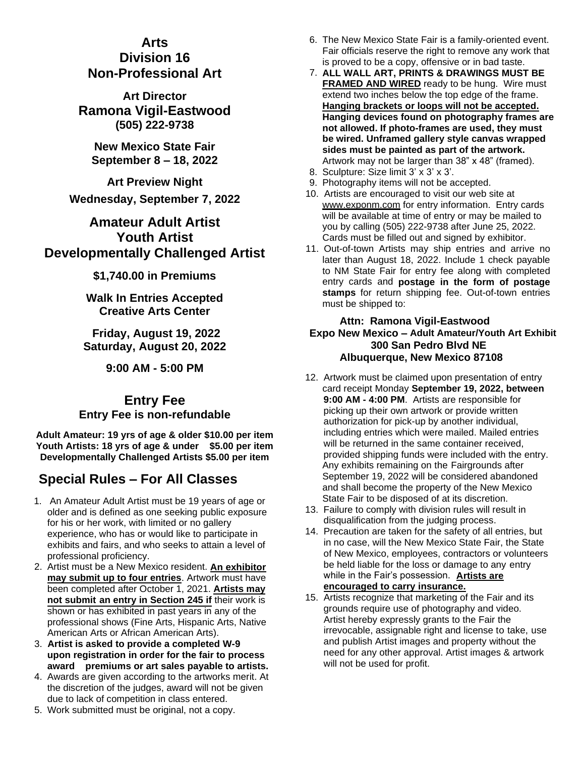## **Arts**

## **Division 16 Non-Professional Art**

**Art Director Ramona Vigil-Eastwood (505) 222-9738**

**New Mexico State Fair September 8 – 18, 2022**

**Art Preview Night Wednesday, September 7, 2022**

# **Amateur Adult Artist Youth Artist Developmentally Challenged Artist**

**\$1,740.00 in Premiums**

**Walk In Entries Accepted Creative Arts Center**

**Friday, August 19, 2022 Saturday, August 20, 2022**

**9:00 AM - 5:00 PM**

## **Entry Fee Entry Fee is non-refundable**

**Adult Amateur: 19 yrs of age & older \$10.00 per item Youth Artists: 18 yrs of age & under \$5.00 per item Developmentally Challenged Artists \$5.00 per item**

# **Special Rules – For All Classes**

- 1. An Amateur Adult Artist must be 19 years of age or older and is defined as one seeking public exposure for his or her work, with limited or no gallery experience, who has or would like to participate in exhibits and fairs, and who seeks to attain a level of professional proficiency.
- 2. Artist must be a New Mexico resident. **An exhibitor may submit up to four entries**. Artwork must have been completed after October 1, 2021. **Artists may not submit an entry in Section 245 if** their work is shown or has exhibited in past years in any of the professional shows (Fine Arts, Hispanic Arts, Native American Arts or African American Arts).
- 3. **Artist is asked to provide a completed W-9 upon registration in order for the fair to process award premiums or art sales payable to artists.**
- 4. Awards are given according to the artworks merit. At the discretion of the judges, award will not be given due to lack of competition in class entered.
- 6. The New Mexico State Fair is a family-oriented event. Fair officials reserve the right to remove any work that is proved to be a copy, offensive or in bad taste.
- 7. **ALL WALL ART, PRINTS & DRAWINGS MUST BE FRAMED AND WIRED** ready to be hung. Wire must extend two inches below the top edge of the frame. **Hanging brackets or loops will not be accepted. Hanging devices found on photography frames are not allowed. If photo-frames are used, they must be wired. Unframed gallery style canvas wrapped sides must be painted as part of the artwork.**  Artwork may not be larger than 38" x 48" (framed).
- 8. Sculpture: Size limit 3' x 3' x 3'.
- 9. Photography items will not be accepted.
- 10. Artists are encouraged to visit our web site at www.exponm.com for entry information. Entry cards will be available at time of entry or may be mailed to you by calling (505) 222-9738 after June 25, 2022. Cards must be filled out and signed by exhibitor.
- 11. Out-of-town Artists may ship entries and arrive no later than August 18, 2022. Include 1 check payable to NM State Fair for entry fee along with completed entry cards and **postage in the form of postage stamps** for return shipping fee. Out-of-town entries must be shipped to:

#### **Attn: Ramona Vigil-Eastwood Expo New Mexico – Adult Amateur/Youth Art Exhibit 300 San Pedro Blvd NE Albuquerque, New Mexico 87108**

- 12. Artwork must be claimed upon presentation of entry card receipt Monday **September 19, 2022, between 9:00 AM - 4:00 PM**. Artists are responsible for picking up their own artwork or provide written authorization for pick-up by another individual, including entries which were mailed. Mailed entries will be returned in the same container received. provided shipping funds were included with the entry. Any exhibits remaining on the Fairgrounds after September 19, 2022 will be considered abandoned and shall become the property of the New Mexico State Fair to be disposed of at its discretion.
- 13. Failure to comply with division rules will result in disqualification from the judging process.
- 14. Precaution are taken for the safety of all entries, but in no case, will the New Mexico State Fair, the State of New Mexico, employees, contractors or volunteers be held liable for the loss or damage to any entry while in the Fair's possession. **Artists are encouraged to carry insurance.**
- 15. Artists recognize that marketing of the Fair and its grounds require use of photography and video. Artist hereby expressly grants to the Fair the irrevocable, assignable right and license to take, use and publish Artist images and property without the need for any other approval. Artist images & artwork will not be used for profit.
- 5. Work submitted must be original, not a copy.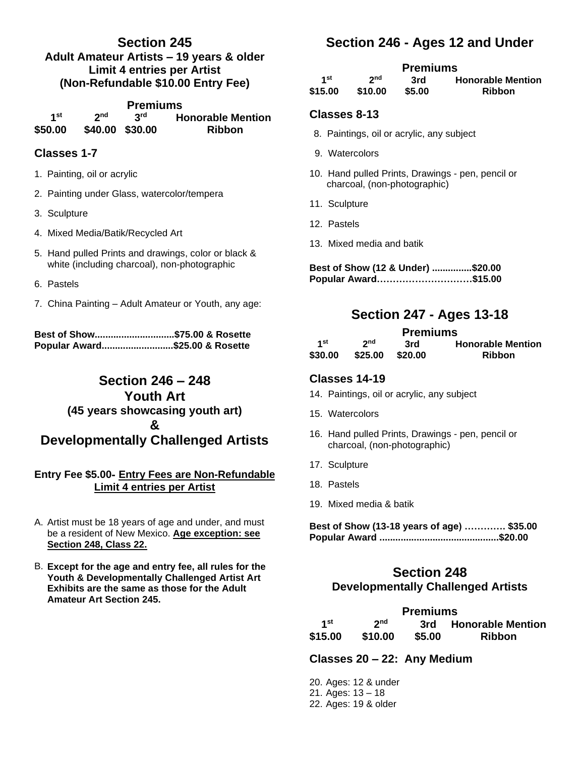## **Section 245 Adult Amateur Artists – 19 years & older Limit 4 entries per Artist (Non-Refundable \$10.00 Entry Fee)**

| <b>Premiums</b> |                 |     |                          |  |  |
|-----------------|-----------------|-----|--------------------------|--|--|
| 1st             | <b>2nd</b>      | 3rd | <b>Honorable Mention</b> |  |  |
| \$50.00         | \$40.00 \$30.00 |     | <b>Ribbon</b>            |  |  |

### **Classes 1-7**

- 1. Painting, oil or acrylic
- 2. Painting under Glass, watercolor/tempera
- 3. Sculpture
- 4. Mixed Media/Batik/Recycled Art
- 5. Hand pulled Prints and drawings, color or black & white (including charcoal), non-photographic
- 6. Pastels
- 7. China Painting Adult Amateur or Youth, any age:

**Best of Show..............................\$75.00 & Rosette Popular Award...........................\$25.00 & Rosette**

# **Section 246 – 248 Youth Art (45 years showcasing youth art) & Developmentally Challenged Artists**

#### **Entry Fee \$5.00- Entry Fees are Non-Refundable Limit 4 entries per Artist**

- A. Artist must be 18 years of age and under, and must be a resident of New Mexico. **Age exception: see Section 248, Class 22.**
- B. **Except for the age and entry fee, all rules for the Youth & Developmentally Challenged Artist Art Exhibits are the same as those for the Adult Amateur Art Section 245.**

# **Section 246 - Ages 12 and Under**

### **Premiums**

| 1st     | 2 <sub>nd</sub> | 3rd    | <b>Honorable Mention</b> |
|---------|-----------------|--------|--------------------------|
| \$15.00 | \$10.00         | \$5.00 | <b>Ribbon</b>            |

#### **Classes 8-13**

- 8. Paintings, oil or acrylic, any subject
- 9. Watercolors
- 10. Hand pulled Prints, Drawings pen, pencil or charcoal, (non-photographic)
- 11. Sculpture
- 12. Pastels
- 13. Mixed media and batik

**Best of Show (12 & Under) ...............\$20.00 Popular Award…………………………\$15.00** 

# **Section 247 - Ages 13-18**

| <b>Premiums</b> |                 |         |                          |  |  |  |  |
|-----------------|-----------------|---------|--------------------------|--|--|--|--|
| 1st             | 2 <sub>nd</sub> | 3rd     | <b>Honorable Mention</b> |  |  |  |  |
| \$30.00         | \$25.00         | \$20.00 | <b>Ribbon</b>            |  |  |  |  |

#### **Classes 14-19**

- 14. Paintings, oil or acrylic, any subject
- 15. Watercolors
- 16. Hand pulled Prints, Drawings pen, pencil or charcoal, (non-photographic)
- 17. Sculpture
- 18. Pastels
- 19. Mixed media & batik

| Best of Show (13-18 years of age)  \$35.00 |  |
|--------------------------------------------|--|
|                                            |  |

## **Section 248 Developmentally Challenged Artists**

| <b>Premiums</b> |                 |        |                       |  |  |
|-----------------|-----------------|--------|-----------------------|--|--|
| 1st             | 2 <sub>nd</sub> |        | 3rd Honorable Mention |  |  |
| \$15.00         | \$10.00         | \$5.00 | <b>Ribbon</b>         |  |  |

#### **Classes 20 – 22: Any Medium**

20. Ages: 12 & under 21. Ages: 13 – 18 22. Ages: 19 & older